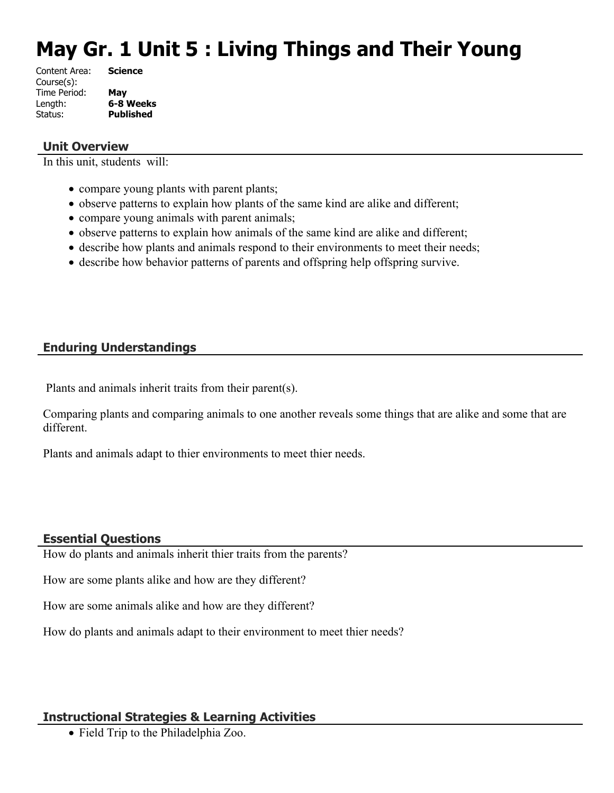# **May Gr. 1 Unit 5 : Living Things and Their Young**

| Content Area: | <b>Science</b>   |
|---------------|------------------|
| Course(s):    |                  |
| Time Period:  | May              |
| Length:       | 6-8 Weeks        |
| Status:       | <b>Published</b> |
|               |                  |

#### **Unit Overview**

In this unit, students will:

- compare young plants with parent plants;
- observe patterns to explain how plants of the same kind are alike and different;
- compare young animals with parent animals;
- observe patterns to explain how animals of the same kind are alike and different;
- describe how plants and animals respond to their environments to meet their needs;
- describe how behavior patterns of parents and offspring help offspring survive.

### **Enduring Understandings**

Plants and animals inherit traits from their parent(s).

Comparing plants and comparing animals to one another reveals some things that are alike and some that are different.

Plants and animals adapt to thier environments to meet thier needs.

#### **Essential Questions**

How do plants and animals inherit thier traits from the parents?

How are some plants alike and how are they different?

How are some animals alike and how are they different?

How do plants and animals adapt to their environment to meet thier needs?

#### **Instructional Strategies & Learning Activities**

• Field Trip to the Philadelphia Zoo.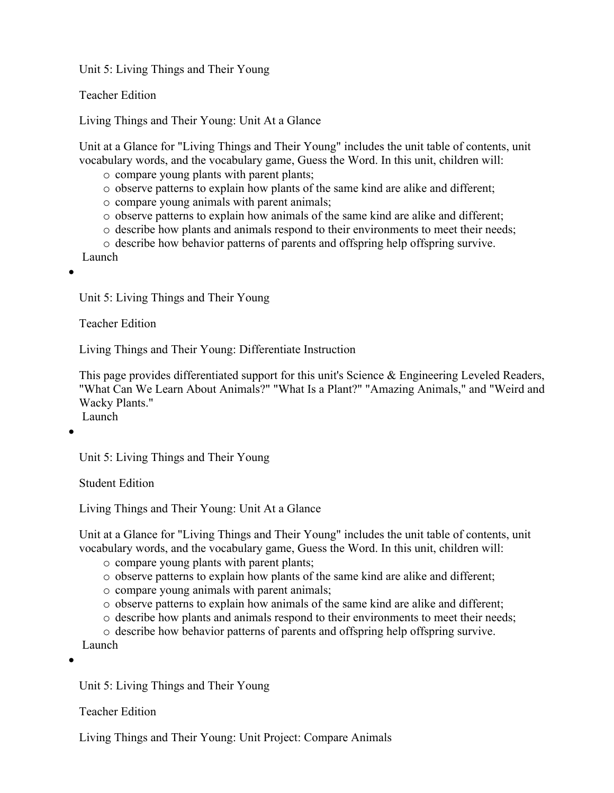Unit 5: Living Things and Their Young

Teacher Edition

Living Things and Their Young: Unit At a Glance

Unit at a Glance for "Living Things and Their Young" includes the unit table of contents, unit vocabulary words, and the vocabulary game, Guess the Word. In this unit, children will:

- o compare young plants with parent plants;
- o observe patterns to explain how plants of the same kind are alike and different;
- o compare young animals with parent animals;
- $\circ$  observe patterns to explain how animals of the same kind are alike and different;
- $\circ$  describe how plants and animals respond to their environments to meet their needs;
- o describe how behavior patterns of parents and offspring help offspring survive.

Launch

 $\bullet$ 

Unit 5: Living Things and Their Young

Teacher Edition

Living Things and Their Young: Differentiate Instruction

This page provides differentiated support for this unit's Science & Engineering Leveled Readers, "What Can We Learn About Animals?" "What Is a Plant?" "Amazing Animals," and "Weird and Wacky Plants." Launch

 $\bullet$ 

Unit 5: Living Things and Their Young

Student Edition

Living Things and Their Young: Unit At a Glance

Unit at a Glance for "Living Things and Their Young" includes the unit table of contents, unit vocabulary words, and the vocabulary game, Guess the Word. In this unit, children will:

- o compare young plants with parent plants;
- o observe patterns to explain how plants of the same kind are alike and different;
- o compare young animals with parent animals;
- o observe patterns to explain how animals of the same kind are alike and different;
- $\circ$  describe how plants and animals respond to their environments to meet their needs;

o describe how behavior patterns of parents and offspring help offspring survive. Launch

 $\bullet$ 

Unit 5: Living Things and Their Young

Teacher Edition

Living Things and Their Young: Unit Project: Compare Animals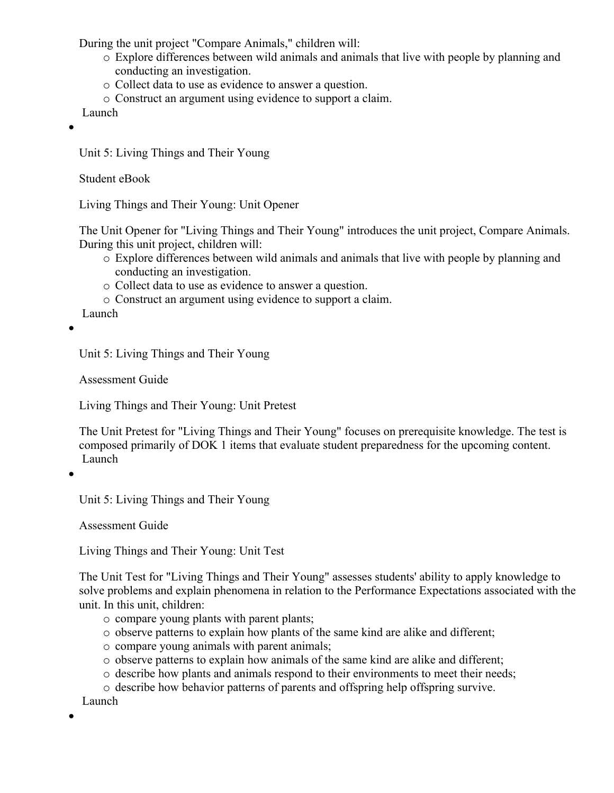During the unit project "Compare Animals," children will:

- o Explore differences between wild animals and animals that live with people by planning and conducting an investigation.
- o Collect data to use as evidence to answer a question.
- o Construct an argument using evidence to support a claim.

Launch

 $\bullet$ 

Unit 5: Living Things and Their Young

Student eBook

Living Things and Their Young: Unit Opener

The Unit Opener for "Living Things and Their Young" introduces the unit project, Compare Animals. During this unit project, children will:

- o Explore differences between wild animals and animals that live with people by planning and conducting an investigation.
- o Collect data to use as evidence to answer a question.
- o Construct an argument using evidence to support a claim.

Launch

 $\bullet$ 

Unit 5: Living Things and Their Young

Assessment Guide

Living Things and Their Young: Unit Pretest

The Unit Pretest for "Living Things and Their Young" focuses on prerequisite knowledge. The test is composed primarily of DOK 1 items that evaluate student preparedness for the upcoming content. Launch

 $\bullet$ 

Unit 5: Living Things and Their Young

Assessment Guide

Living Things and Their Young: Unit Test

The Unit Test for "Living Things and Their Young" assesses students' ability to apply knowledge to solve problems and explain phenomena in relation to the Performance Expectations associated with the unit. In this unit, children:

- o compare young plants with parent plants;
- o observe patterns to explain how plants of the same kind are alike and different;
- o compare young animals with parent animals;
- o observe patterns to explain how animals of the same kind are alike and different;
- $\circ$  describe how plants and animals respond to their environments to meet their needs;
- o describe how behavior patterns of parents and offspring help offspring survive.

Launch

 $\bullet$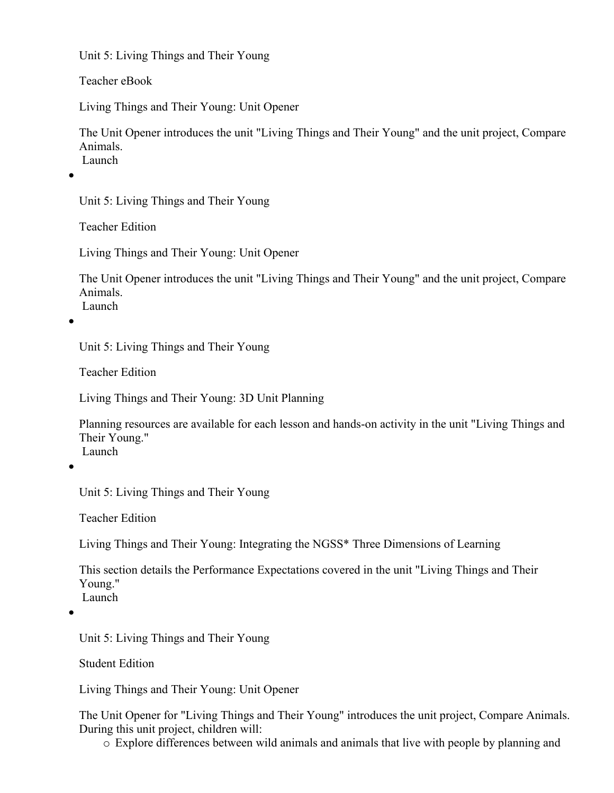Unit 5: Living Things and Their Young

Teacher eBook

Living Things and Their Young: Unit Opener

The Unit Opener introduces the unit "Living Things and Their Young" and the unit project, Compare Animals. Launch

 $\bullet$ 

Unit 5: Living Things and Their Young

Teacher Edition

Living Things and Their Young: Unit Opener

The Unit Opener introduces the unit "Living Things and Their Young" and the unit project, Compare Animals. Launch

 $\bullet$ 

Unit 5: Living Things and Their Young

Teacher Edition

Living Things and Their Young: 3D Unit Planning

Planning resources are available for each lesson and hands-on activity in the unit "Living Things and Their Young." Launch

 $\bullet$ 

Unit 5: Living Things and Their Young

Teacher Edition

Living Things and Their Young: Integrating the NGSS\* Three Dimensions of Learning

This section details the Performance Expectations covered in the unit "Living Things and Their Young."

Launch

 $\bullet$ 

Unit 5: Living Things and Their Young

Student Edition

Living Things and Their Young: Unit Opener

The Unit Opener for "Living Things and Their Young" introduces the unit project, Compare Animals. During this unit project, children will:

o Explore differences between wild animals and animals that live with people by planning and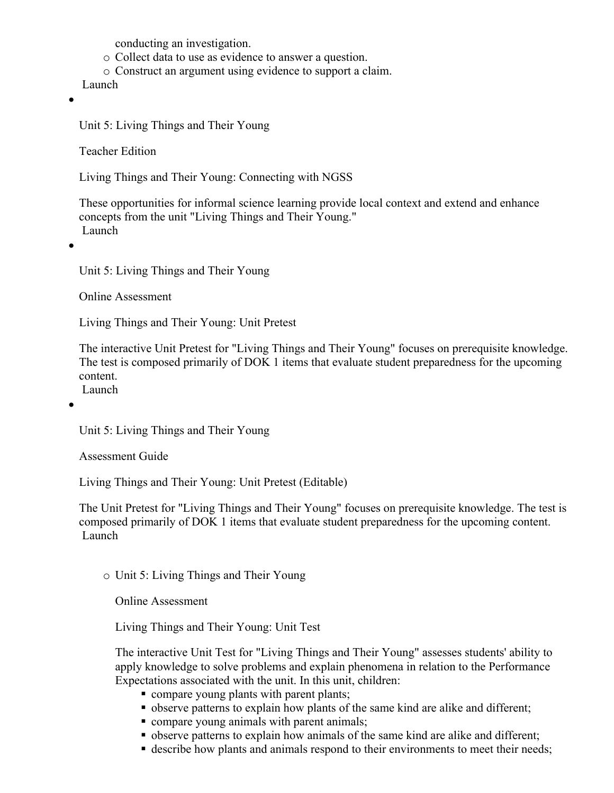conducting an investigation.

- o Collect data to use as evidence to answer a question.
- o Construct an argument using evidence to support a claim.

Launch

 $\bullet$ 

Unit 5: Living Things and Their Young

Teacher Edition

Living Things and Their Young: Connecting with NGSS

These opportunities for informal science learning provide local context and extend and enhance concepts from the unit "Living Things and Their Young." Launch

 $\bullet$ 

Unit 5: Living Things and Their Young

Online Assessment

Living Things and Their Young: Unit Pretest

The interactive Unit Pretest for "Living Things and Their Young" focuses on prerequisite knowledge. The test is composed primarily of DOK 1 items that evaluate student preparedness for the upcoming content. Launch

 $\bullet$ 

Unit 5: Living Things and Their Young

Assessment Guide

Living Things and Their Young: Unit Pretest (Editable)

The Unit Pretest for "Living Things and Their Young" focuses on prerequisite knowledge. The test is composed primarily of DOK 1 items that evaluate student preparedness for the upcoming content. Launch

o Unit 5: Living Things and Their Young

Online Assessment

Living Things and Their Young: Unit Test

The interactive Unit Test for "Living Things and Their Young" assesses students' ability to apply knowledge to solve problems and explain phenomena in relation to the Performance Expectations associated with the unit. In this unit, children:

- compare young plants with parent plants;
- observe patterns to explain how plants of the same kind are alike and different;
- compare young animals with parent animals;
- observe patterns to explain how animals of the same kind are alike and different;
- describe how plants and animals respond to their environments to meet their needs;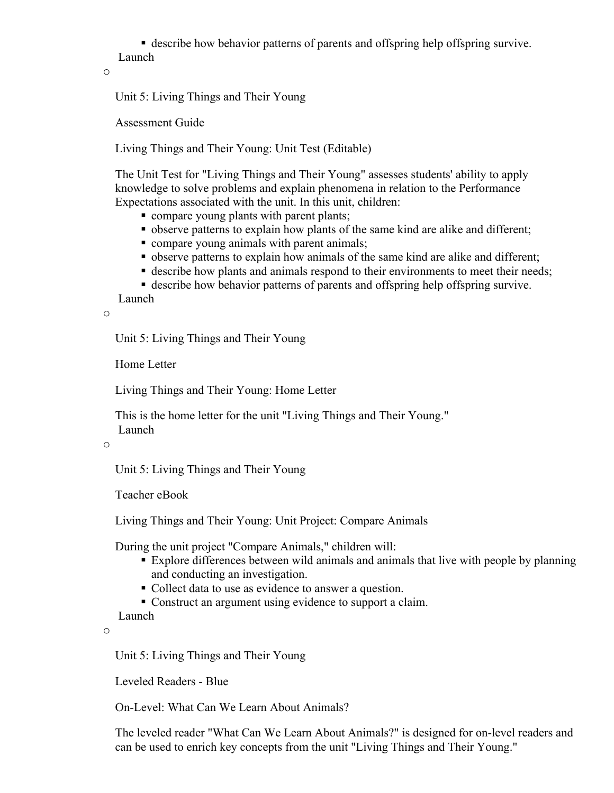describe how behavior patterns of parents and offspring help offspring survive. Launch

o

Unit 5: Living Things and Their Young

Assessment Guide

Living Things and Their Young: Unit Test (Editable)

The Unit Test for "Living Things and Their Young" assesses students' ability to apply knowledge to solve problems and explain phenomena in relation to the Performance Expectations associated with the unit. In this unit, children:

- compare young plants with parent plants;
- observe patterns to explain how plants of the same kind are alike and different;
- compare young animals with parent animals;
- observe patterns to explain how animals of the same kind are alike and different;
- describe how plants and animals respond to their environments to meet their needs;

describe how behavior patterns of parents and offspring help offspring survive.

Launch

o

Unit 5: Living Things and Their Young

Home Letter

Living Things and Their Young: Home Letter

This is the home letter for the unit "Living Things and Their Young." Launch

o

Unit 5: Living Things and Their Young

Teacher eBook

Living Things and Their Young: Unit Project: Compare Animals

During the unit project "Compare Animals," children will:

- Explore differences between wild animals and animals that live with people by planning and conducting an investigation.
- Collect data to use as evidence to answer a question.

Construct an argument using evidence to support a claim.

Launch

o

Unit 5: Living Things and Their Young

Leveled Readers - Blue

On-Level: What Can We Learn About Animals?

The leveled reader "What Can We Learn About Animals?" is designed for on-level readers and can be used to enrich key concepts from the unit "Living Things and Their Young."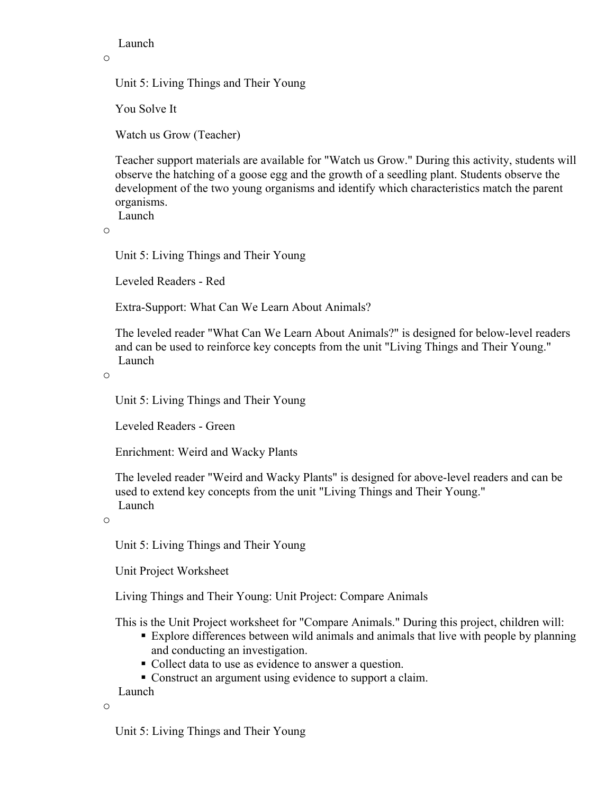Launch

o

Unit 5: Living Things and Their Young

You Solve It

Watch us Grow (Teacher)

Teacher support materials are available for "Watch us Grow." During this activity, students will observe the hatching of a goose egg and the growth of a seedling plant. Students observe the development of the two young organisms and identify which characteristics match the parent organisms.

Launch

o

Unit 5: Living Things and Their Young

Leveled Readers - Red

Extra-Support: What Can We Learn About Animals?

The leveled reader "What Can We Learn About Animals?" is designed for below-level readers and can be used to reinforce key concepts from the unit "Living Things and Their Young." Launch

o

Unit 5: Living Things and Their Young

Leveled Readers - Green

Enrichment: Weird and Wacky Plants

The leveled reader "Weird and Wacky Plants" is designed for above-level readers and can be used to extend key concepts from the unit "Living Things and Their Young." Launch

o

Unit 5: Living Things and Their Young

Unit Project Worksheet

Living Things and Their Young: Unit Project: Compare Animals

This is the Unit Project worksheet for "Compare Animals." During this project, children will:

- Explore differences between wild animals and animals that live with people by planning and conducting an investigation.
- Collect data to use as evidence to answer a question.
- Construct an argument using evidence to support a claim.

Launch

o

Unit 5: Living Things and Their Young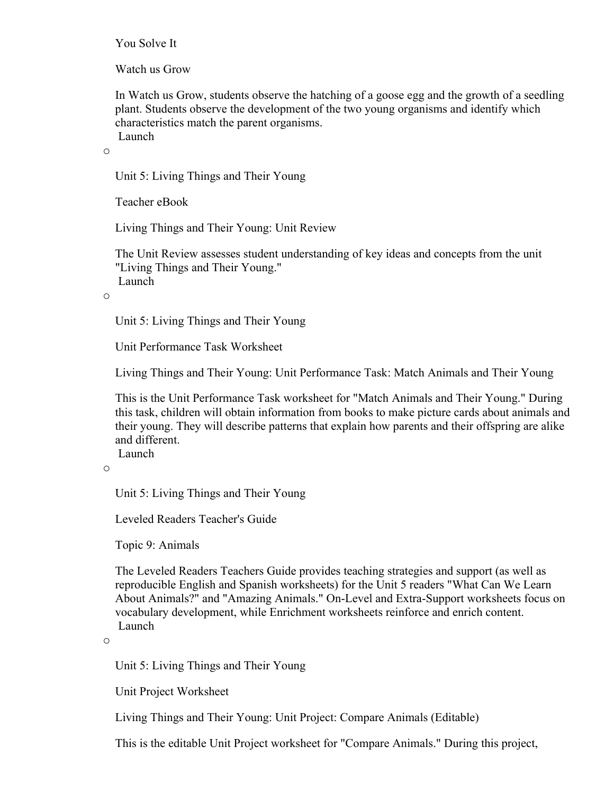You Solve It

Watch us Grow

In Watch us Grow, students observe the hatching of a goose egg and the growth of a seedling plant. Students observe the development of the two young organisms and identify which characteristics match the parent organisms.

Launch

o

Unit 5: Living Things and Their Young

Teacher eBook

Living Things and Their Young: Unit Review

The Unit Review assesses student understanding of key ideas and concepts from the unit "Living Things and Their Young." Launch

o

Unit 5: Living Things and Their Young

Unit Performance Task Worksheet

Living Things and Their Young: Unit Performance Task: Match Animals and Their Young

This is the Unit Performance Task worksheet for "Match Animals and Their Young." During this task, children will obtain information from books to make picture cards about animals and their young. They will describe patterns that explain how parents and their offspring are alike and different.

Launch

o

Unit 5: Living Things and Their Young

Leveled Readers Teacher's Guide

Topic 9: Animals

The Leveled Readers Teachers Guide provides teaching strategies and support (as well as reproducible English and Spanish worksheets) for the Unit 5 readers "What Can We Learn About Animals?" and "Amazing Animals." On-Level and Extra-Support worksheets focus on vocabulary development, while Enrichment worksheets reinforce and enrich content. Launch

o

Unit 5: Living Things and Their Young

Unit Project Worksheet

Living Things and Their Young: Unit Project: Compare Animals (Editable)

This is the editable Unit Project worksheet for "Compare Animals." During this project,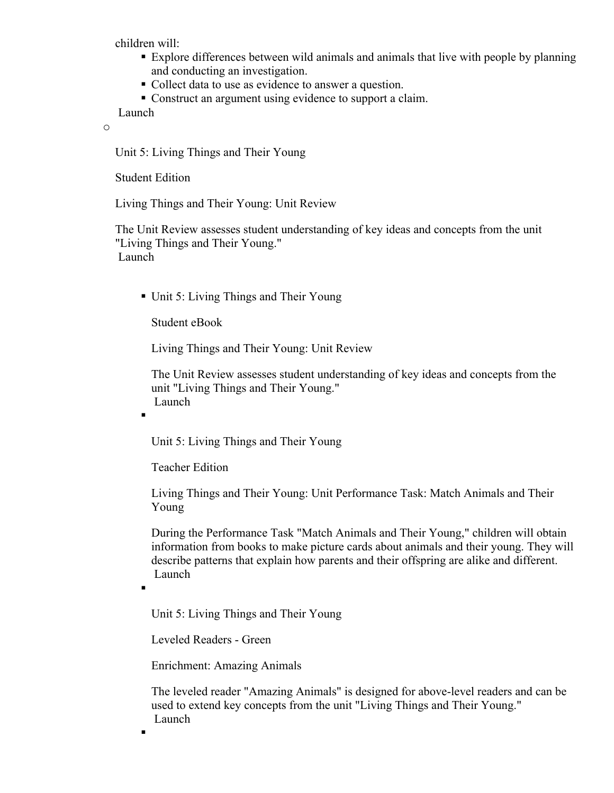children will:

- Explore differences between wild animals and animals that live with people by planning and conducting an investigation.
- Collect data to use as evidence to answer a question.
- Construct an argument using evidence to support a claim.

Launch

o

Unit 5: Living Things and Their Young

Student Edition

Living Things and Their Young: Unit Review

The Unit Review assesses student understanding of key ideas and concepts from the unit "Living Things and Their Young." Launch

■ Unit 5: Living Things and Their Young

Student eBook

Living Things and Their Young: Unit Review

The Unit Review assesses student understanding of key ideas and concepts from the unit "Living Things and Their Young." Launch

Unit 5: Living Things and Their Young

Teacher Edition

Living Things and Their Young: Unit Performance Task: Match Animals and Their Young

During the Performance Task "Match Animals and Their Young," children will obtain information from books to make picture cards about animals and their young. They will describe patterns that explain how parents and their offspring are alike and different. Launch

 $\blacksquare$ 

 $\blacksquare$ 

 $\blacksquare$ 

Unit 5: Living Things and Their Young

Leveled Readers - Green

Enrichment: Amazing Animals

The leveled reader "Amazing Animals" is designed for above-level readers and can be used to extend key concepts from the unit "Living Things and Their Young." Launch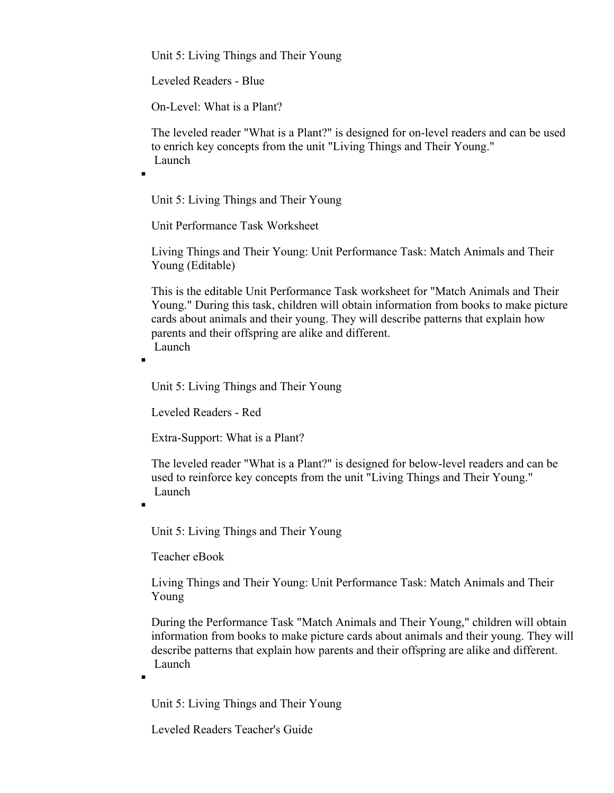Unit 5: Living Things and Their Young

Leveled Readers - Blue

On-Level: What is a Plant?

The leveled reader "What is a Plant?" is designed for on-level readers and can be used to enrich key concepts from the unit "Living Things and Their Young." Launch

Unit 5: Living Things and Their Young

Unit Performance Task Worksheet

Living Things and Their Young: Unit Performance Task: Match Animals and Their Young (Editable)

This is the editable Unit Performance Task worksheet for "Match Animals and Their Young." During this task, children will obtain information from books to make picture cards about animals and their young. They will describe patterns that explain how parents and their offspring are alike and different. Launch

 $\blacksquare$ 

.

.

 $\blacksquare$ 

Unit 5: Living Things and Their Young

Leveled Readers - Red

Extra-Support: What is a Plant?

The leveled reader "What is a Plant?" is designed for below-level readers and can be used to reinforce key concepts from the unit "Living Things and Their Young." Launch

Unit 5: Living Things and Their Young

Teacher eBook

Living Things and Their Young: Unit Performance Task: Match Animals and Their Young

During the Performance Task "Match Animals and Their Young," children will obtain information from books to make picture cards about animals and their young. They will describe patterns that explain how parents and their offspring are alike and different. Launch

Unit 5: Living Things and Their Young

Leveled Readers Teacher's Guide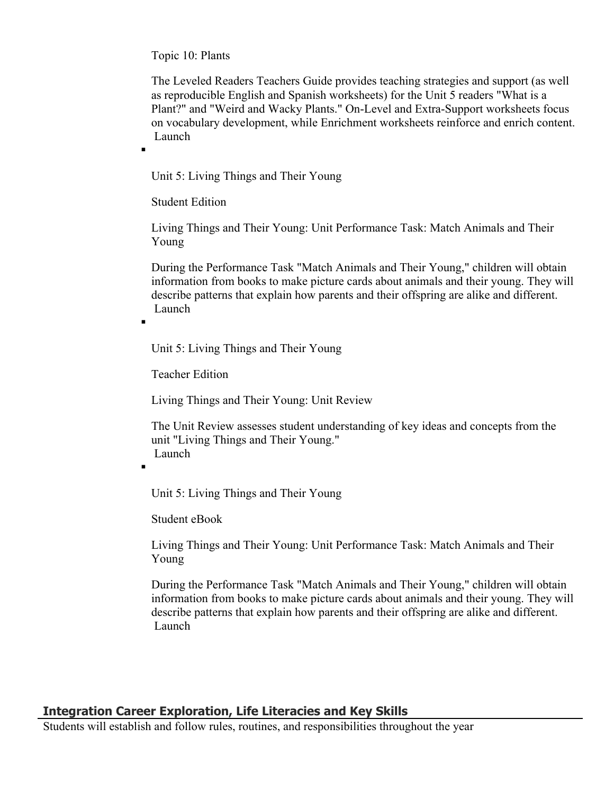Topic 10: Plants

The Leveled Readers Teachers Guide provides teaching strategies and support (as well as reproducible English and Spanish worksheets) for the Unit 5 readers "What is a Plant?" and "Weird and Wacky Plants." On-Level and Extra-Support worksheets focus on vocabulary development, while Enrichment worksheets reinforce and enrich content. Launch

Unit 5: Living Things and Their Young

Student Edition

 $\blacksquare$ 

Living Things and Their Young: Unit Performance Task: Match Animals and Their Young

During the Performance Task "Match Animals and Their Young," children will obtain information from books to make picture cards about animals and their young. They will describe patterns that explain how parents and their offspring are alike and different. Launch

Unit 5: Living Things and Their Young

Teacher Edition

Living Things and Their Young: Unit Review

The Unit Review assesses student understanding of key ideas and concepts from the unit "Living Things and Their Young." Launch

.

 $\blacksquare$ 

Unit 5: Living Things and Their Young

Student eBook

Living Things and Their Young: Unit Performance Task: Match Animals and Their Young

During the Performance Task "Match Animals and Their Young," children will obtain information from books to make picture cards about animals and their young. They will describe patterns that explain how parents and their offspring are alike and different. Launch

## **Integration Career Exploration, Life Literacies and Key Skills**

Students will establish and follow rules, routines, and responsibilities throughout the year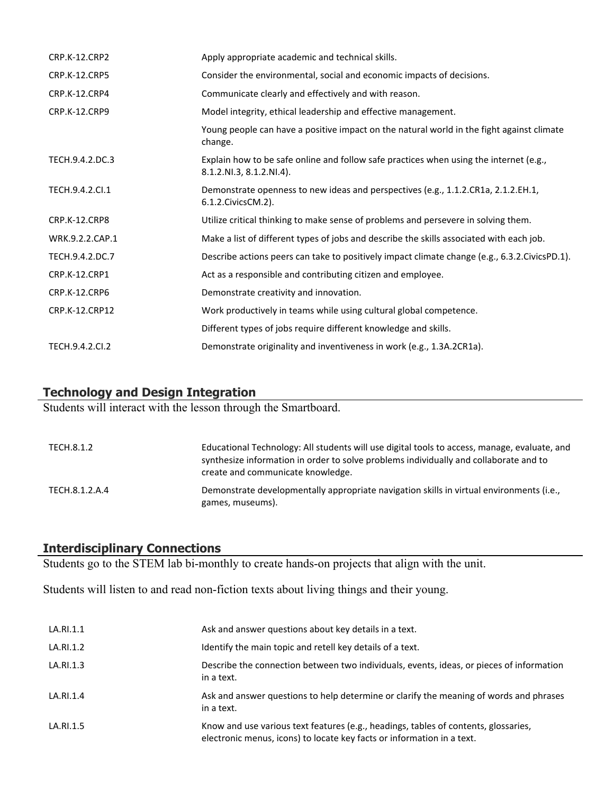| <b>CRP.K-12.CRP2</b> | Apply appropriate academic and technical skills.                                                                   |
|----------------------|--------------------------------------------------------------------------------------------------------------------|
| CRP.K-12.CRP5        | Consider the environmental, social and economic impacts of decisions.                                              |
| CRP.K-12.CRP4        | Communicate clearly and effectively and with reason.                                                               |
| <b>CRP.K-12.CRP9</b> | Model integrity, ethical leadership and effective management.                                                      |
|                      | Young people can have a positive impact on the natural world in the fight against climate<br>change.               |
| TECH.9.4.2.DC.3      | Explain how to be safe online and follow safe practices when using the internet (e.g.,<br>8.1.2.NI.3, 8.1.2.NI.4). |
| TECH.9.4.2.Cl.1      | Demonstrate openness to new ideas and perspectives (e.g., 1.1.2.CR1a, 2.1.2.EH.1,<br>6.1.2. Civics CM. 2).         |
| CRP.K-12.CRP8        | Utilize critical thinking to make sense of problems and persevere in solving them.                                 |
| WRK.9.2.2.CAP.1      | Make a list of different types of jobs and describe the skills associated with each job.                           |
| TECH.9.4.2.DC.7      | Describe actions peers can take to positively impact climate change (e.g., 6.3.2.CivicsPD.1).                      |
| <b>CRP.K-12.CRP1</b> | Act as a responsible and contributing citizen and employee.                                                        |
| <b>CRP.K-12.CRP6</b> | Demonstrate creativity and innovation.                                                                             |
| CRP.K-12.CRP12       | Work productively in teams while using cultural global competence.                                                 |
|                      | Different types of jobs require different knowledge and skills.                                                    |
| TECH.9.4.2.CI.2      | Demonstrate originality and inventiveness in work (e.g., 1.3A.2CR1a).                                              |

#### **Technology and Design Integration**

Students will interact with the lesson through the Smartboard.

| TECH.8.1.2     | Educational Technology: All students will use digital tools to access, manage, evaluate, and<br>synthesize information in order to solve problems individually and collaborate and to<br>create and communicate knowledge. |
|----------------|----------------------------------------------------------------------------------------------------------------------------------------------------------------------------------------------------------------------------|
| TECH.8.1.2.A.4 | Demonstrate developmentally appropriate navigation skills in virtual environments (i.e.,<br>games, museums).                                                                                                               |

## **Interdisciplinary Connections**

Students go to the STEM lab bi-monthly to create hands-on projects that align with the unit.

Students will listen to and read non-fiction texts about living things and their young.

| LA.RI.1.1 | Ask and answer questions about key details in a text.                                                                                                         |
|-----------|---------------------------------------------------------------------------------------------------------------------------------------------------------------|
| LA.RI.1.2 | Identify the main topic and retell key details of a text.                                                                                                     |
| LA.RI.1.3 | Describe the connection between two individuals, events, ideas, or pieces of information<br>in a text.                                                        |
| LA.RI.1.4 | Ask and answer questions to help determine or clarify the meaning of words and phrases<br>in a text.                                                          |
| LA.RI.1.5 | Know and use various text features (e.g., headings, tables of contents, glossaries,<br>electronic menus, icons) to locate key facts or information in a text. |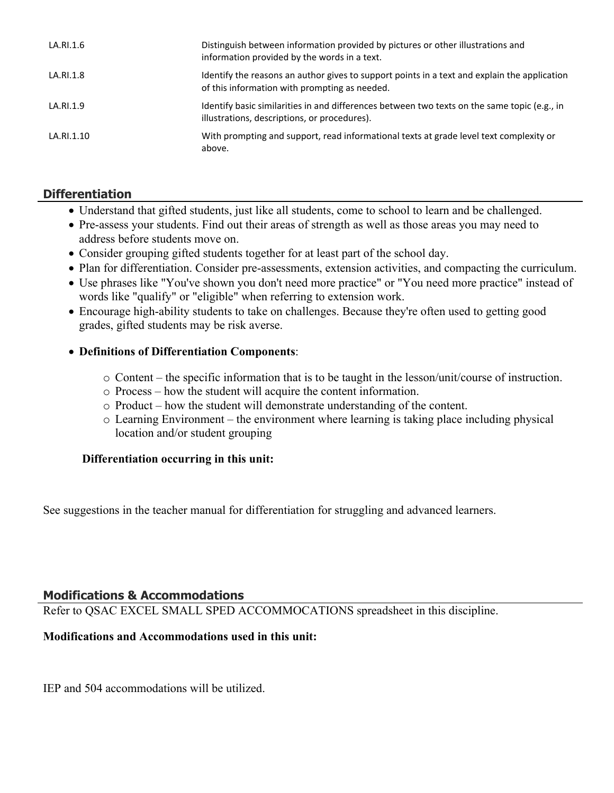| LA.RI.1.6  | Distinguish between information provided by pictures or other illustrations and<br>information provided by the words in a text.               |
|------------|-----------------------------------------------------------------------------------------------------------------------------------------------|
| LA.RI.1.8  | Identify the reasons an author gives to support points in a text and explain the application<br>of this information with prompting as needed. |
| LA.RI.1.9  | Identify basic similarities in and differences between two texts on the same topic (e.g., in<br>illustrations, descriptions, or procedures).  |
| LA.RI.1.10 | With prompting and support, read informational texts at grade level text complexity or<br>above.                                              |

## **Differentiation**

- Understand that gifted students, just like all students, come to school to learn and be challenged.
- Pre-assess your students. Find out their areas of strength as well as those areas you may need to address before students move on.
- Consider grouping gifted students together for at least part of the school day.
- Plan for differentiation. Consider pre-assessments, extension activities, and compacting the curriculum.
- Use phrases like "You've shown you don't need more practice" or "You need more practice" instead of words like "qualify" or "eligible" when referring to extension work.
- Encourage high-ability students to take on challenges. Because they're often used to getting good grades, gifted students may be risk averse.

## **Definitions of Differentiation Components**:

- o Content the specific information that is to be taught in the lesson/unit/course of instruction.
- o Process how the student will acquire the content information.
- o Product how the student will demonstrate understanding of the content.
- o Learning Environment the environment where learning is taking place including physical location and/or student grouping

## **Differentiation occurring in this unit:**

See suggestions in the teacher manual for differentiation for struggling and advanced learners.

## **Modifications & Accommodations**

Refer to QSAC EXCEL SMALL SPED ACCOMMOCATIONS spreadsheet in this discipline.

## **Modifications and Accommodations used in this unit:**

IEP and 504 accommodations will be utilized.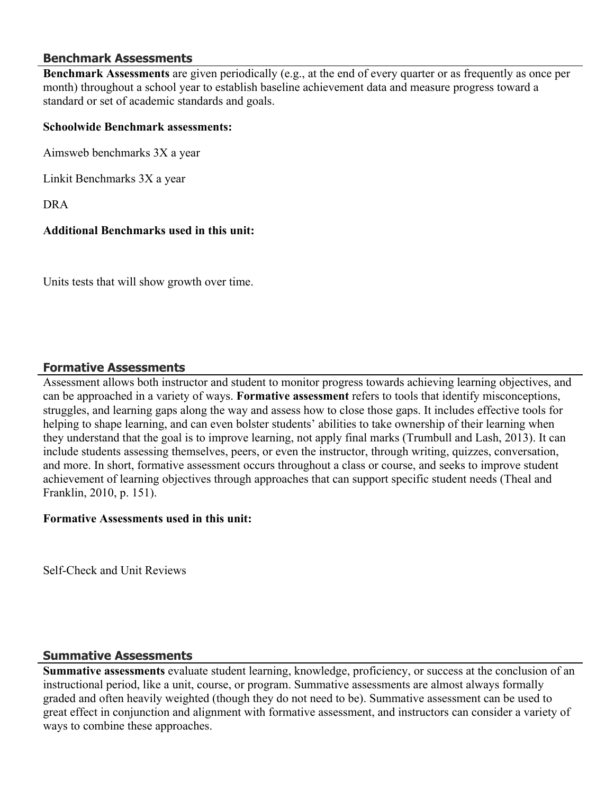#### **Benchmark Assessments**

**Benchmark Assessments** are given periodically (e.g., at the end of every quarter or as frequently as once per month) throughout a school year to establish baseline achievement data and measure progress toward a standard or set of academic standards and goals.

#### **Schoolwide Benchmark assessments:**

Aimsweb benchmarks 3X a year

Linkit Benchmarks 3X a year

DRA

#### **Additional Benchmarks used in this unit:**

Units tests that will show growth over time.

### **Formative Assessments**

Assessment allows both instructor and student to monitor progress towards achieving learning objectives, and can be approached in a variety of ways. **Formative assessment** refers to tools that identify misconceptions, struggles, and learning gaps along the way and assess how to close those gaps. It includes effective tools for helping to shape learning, and can even bolster students' abilities to take ownership of their learning when they understand that the goal is to improve learning, not apply final marks (Trumbull and Lash, 2013). It can include students assessing themselves, peers, or even the instructor, through writing, quizzes, conversation, and more. In short, formative assessment occurs throughout a class or course, and seeks to improve student achievement of learning objectives through approaches that can support specific student needs (Theal and Franklin, 2010, p. 151).

#### **Formative Assessments used in this unit:**

Self-Check and Unit Reviews

## **Summative Assessments**

**Summative assessments** evaluate student learning, knowledge, proficiency, or success at the conclusion of an instructional period, like a unit, course, or program. Summative assessments are almost always formally graded and often heavily weighted (though they do not need to be). Summative assessment can be used to great effect in conjunction and alignment with formative assessment, and instructors can consider a variety of ways to combine these approaches.